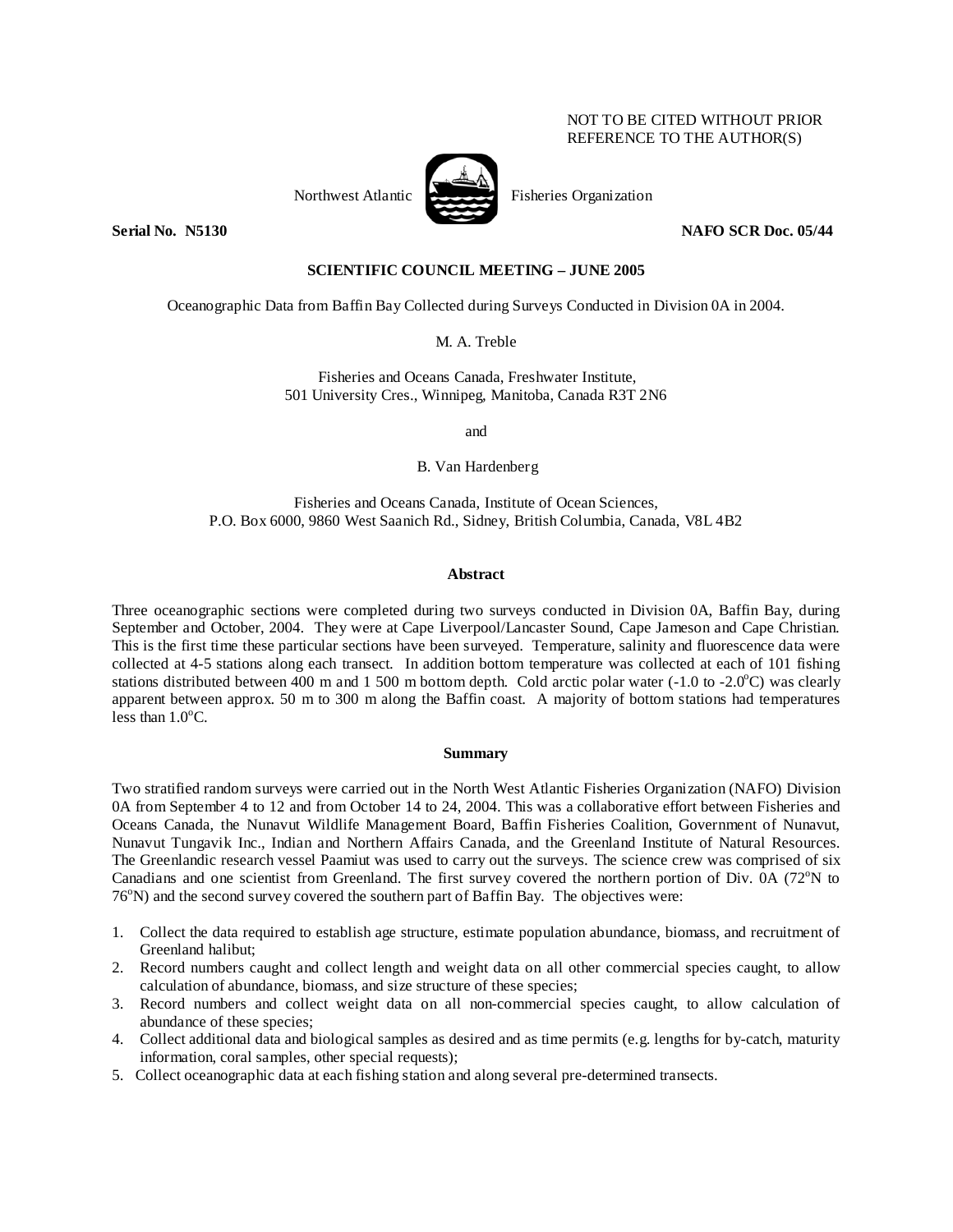# NOT TO BE CITED WITHOUT PRIOR REFERENCE TO THE AUTHOR(S)

Northwest Atlantic Fisheries Organization

**Serial No. N5130 NAFO SCR Doc. 05/44** 

# **SCIENTIFIC COUNCIL MEETING – JUNE 2005**

Oceanographic Data from Baffin Bay Collected during Surveys Conducted in Division 0A in 2004.

M. A. Treble

Fisheries and Oceans Canada, Freshwater Institute, 501 University Cres., Winnipeg, Manitoba, Canada R3T 2N6

and

B. Van Hardenberg

Fisheries and Oceans Canada, Institute of Ocean Sciences, P.O. Box 6000, 9860 West Saanich Rd., Sidney, British Columbia, Canada, V8L 4B2

### **Abstract**

Three oceanographic sections were completed during two surveys conducted in Division 0A, Baffin Bay, during September and October, 2004. They were at Cape Liverpool/Lancaster Sound, Cape Jameson and Cape Christian. This is the first time these particular sections have been surveyed. Temperature, salinity and fluorescence data were collected at 4-5 stations along each transect. In addition bottom temperature was collected at each of 101 fishing stations distributed between  $\overline{400}$  m and 1 500 m bottom depth. Cold arctic polar water (-1.0 to -2.0°C) was clearly apparent between approx. 50 m to 300 m along the Baffin coast. A majority of bottom stations had temperatures less than  $1.0^{\circ}$ C.

#### **Summary**

Two stratified random surveys were carried out in the North West Atlantic Fisheries Organization (NAFO) Division 0A from September 4 to 12 and from October 14 to 24, 2004. This was a collaborative effort between Fisheries and Oceans Canada, the Nunavut Wildlife Management Board, Baffin Fisheries Coalition, Government of Nunavut, Nunavut Tungavik Inc., Indian and Northern Affairs Canada, and the Greenland Institute of Natural Resources. The Greenlandic research vessel Paamiut was used to carry out the surveys. The science crew was comprised of six Canadians and one scientist from Greenland. The first survey covered the northern portion of Div. 0A (72°N to 76°N) and the second survey covered the southern part of Baffin Bay. The objectives were:

- 1. Collect the data required to establish age structure, estimate population abundance, biomass, and recruitment of Greenland halibut;
- 2. Record numbers caught and collect length and weight data on all other commercial species caught, to allow calculation of abundance, biomass, and size structure of these species;
- 3. Record numbers and collect weight data on all non-commercial species caught, to allow calculation of abundance of these species;
- 4. Collect additional data and biological samples as desired and as time permits (e.g. lengths for by-catch, maturity information, coral samples, other special requests);
- 5. Collect oceanographic data at each fishing station and along several pre-determined transects.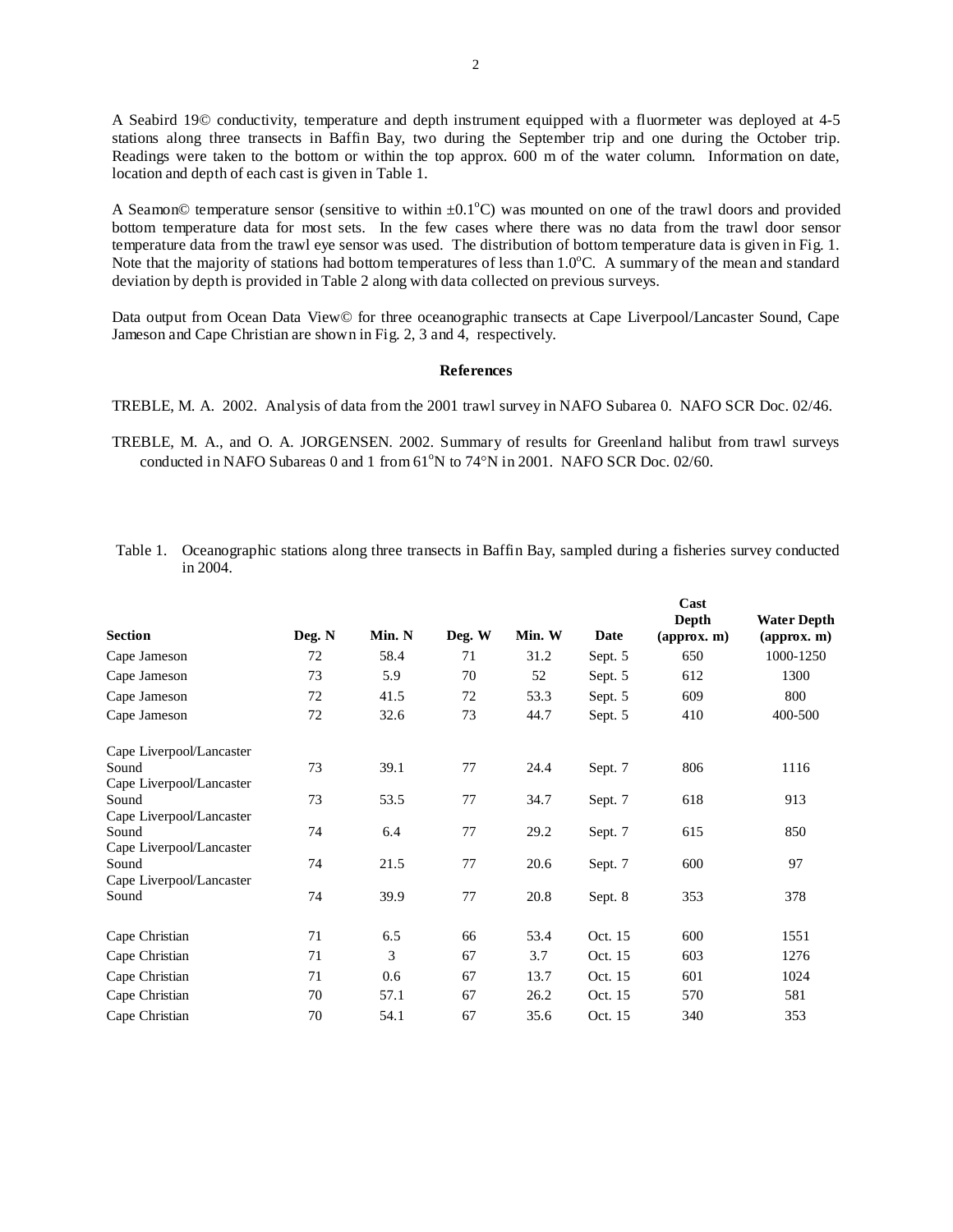A Seabird 19© conductivity, temperature and depth instrument equipped with a fluormeter was deployed at 4-5 stations along three transects in Baffin Bay, two during the September trip and one during the October trip. Readings were taken to the bottom or within the top approx. 600 m of the water column. Information on date, location and depth of each cast is given in Table 1.

A Seamon© temperature sensor (sensitive to within  $\pm 0.1^{\circ}$ C) was mounted on one of the trawl doors and provided bottom temperature data for most sets. In the few cases where there was no data from the trawl door sensor temperature data from the trawl eye sensor was used. The distribution of bottom temperature data is given in Fig. 1. Note that the majority of stations had bottom temperatures of less than 1.0°C. A summary of the mean and standard deviation by depth is provided in Table 2 along with data collected on previous surveys.

Data output from Ocean Data View© for three oceanographic transects at Cape Liverpool/Lancaster Sound, Cape Jameson and Cape Christian are shown in Fig. 2, 3 and 4, respectively.

# **References**

TREBLE, M. A. 2002. Analysis of data from the 2001 trawl survey in NAFO Subarea 0. NAFO SCR Doc. 02/46.

TREBLE, M. A., and O. A. JORGENSEN. 2002. Summary of results for Greenland halibut from trawl surveys conducted in NAFO Subareas  $0$  and  $1$  from  $61^{\circ}$ N to  $74^{\circ}$ N in 2001. NAFO SCR Doc. 02/60.

| <b>Section</b>                    | Deg. N | Min. N | Deg. W | Min. W | Date    | Cast<br>Depth<br>$\left($ approx. m $\right)$ | <b>Water Depth</b><br>$\left( \text{approx. m} \right)$ |
|-----------------------------------|--------|--------|--------|--------|---------|-----------------------------------------------|---------------------------------------------------------|
| Cape Jameson                      | 72     | 58.4   | 71     | 31.2   | Sept. 5 | 650                                           | 1000-1250                                               |
| Cape Jameson                      | 73     | 5.9    | 70     | 52     | Sept. 5 | 612                                           | 1300                                                    |
| Cape Jameson                      | 72     | 41.5   | 72     | 53.3   | Sept. 5 | 609                                           | 800                                                     |
| Cape Jameson                      | 72     | 32.6   | 73     | 44.7   | Sept. 5 | 410                                           | 400-500                                                 |
| Cape Liverpool/Lancaster          |        |        |        |        |         |                                               |                                                         |
| Sound                             | 73     | 39.1   | 77     | 24.4   | Sept. 7 | 806                                           | 1116                                                    |
| Cape Liverpool/Lancaster          |        |        |        |        |         |                                               |                                                         |
| Sound                             | 73     | 53.5   | 77     | 34.7   | Sept. 7 | 618                                           | 913                                                     |
| Cape Liverpool/Lancaster<br>Sound | 74     | 6.4    | 77     | 29.2   |         | 615                                           | 850                                                     |
| Cape Liverpool/Lancaster          |        |        |        |        | Sept. 7 |                                               |                                                         |
| Sound                             | 74     | 21.5   | 77     | 20.6   | Sept. 7 | 600                                           | 97                                                      |
| Cape Liverpool/Lancaster          |        |        |        |        |         |                                               |                                                         |
| Sound                             | 74     | 39.9   | 77     | 20.8   | Sept. 8 | 353                                           | 378                                                     |
| Cape Christian                    | 71     | 6.5    | 66     | 53.4   | Oct. 15 | 600                                           | 1551                                                    |
| Cape Christian                    | 71     | 3      | 67     | 3.7    | Oct. 15 | 603                                           | 1276                                                    |
| Cape Christian                    | 71     | 0.6    | 67     | 13.7   | Oct. 15 | 601                                           | 1024                                                    |
| Cape Christian                    | 70     | 57.1   | 67     | 26.2   | Oct. 15 | 570                                           | 581                                                     |
| Cape Christian                    | 70     | 54.1   | 67     | 35.6   | Oct. 15 | 340                                           | 353                                                     |

 Table 1. Oceanographic stations along three transects in Baffin Bay, sampled during a fisheries survey conducted in 2004.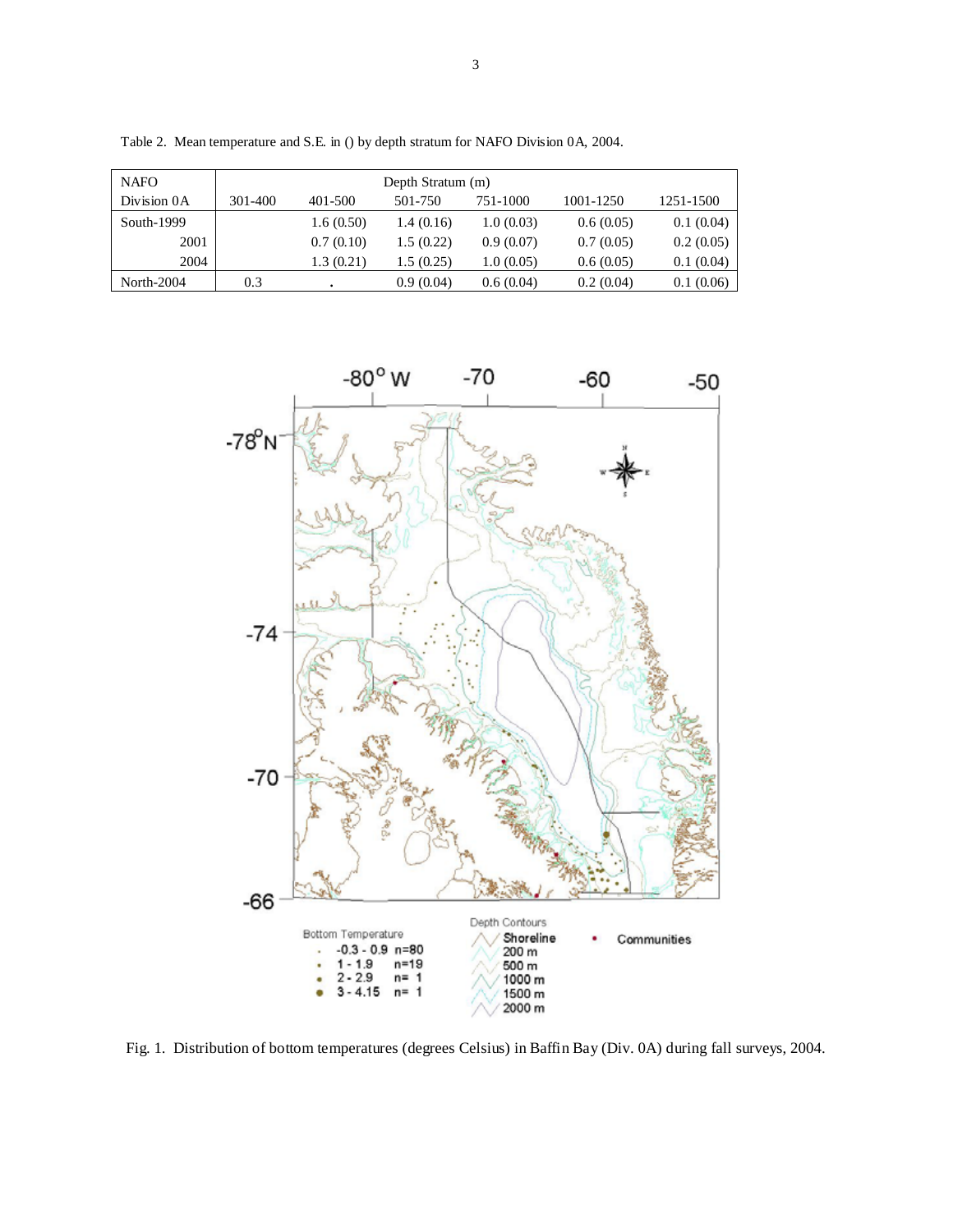| <b>NAFO</b>   | Depth Stratum (m) |           |           |           |           |           |  |  |  |  |  |
|---------------|-------------------|-----------|-----------|-----------|-----------|-----------|--|--|--|--|--|
| Division 0A   | 301-400           | 401-500   | 501-750   | 751-1000  | 1001-1250 | 1251-1500 |  |  |  |  |  |
| South- $1999$ |                   | 1.6(0.50) | 1.4(0.16) | 1.0(0.03) | 0.6(0.05) | 0.1(0.04) |  |  |  |  |  |
| 2001          |                   | 0.7(0.10) | 1.5(0.22) | 0.9(0.07) | 0.7(0.05) | 0.2(0.05) |  |  |  |  |  |
| 2004          |                   | 1.3(0.21) | .5(0.25)  | 1.0(0.05) | 0.6(0.05) | 0.1(0.04) |  |  |  |  |  |
| North-2004    | 0.3               |           | 0.9(0.04) | 0.6(0.04) | 0.2(0.04) | 0.1(0.06) |  |  |  |  |  |

Table 2. Mean temperature and S.E. in () by depth stratum for NAFO Division 0A, 2004.



Fig. 1. Distribution of bottom temperatures (degrees Celsius) in Baffin Bay (Div. 0A) during fall surveys, 2004.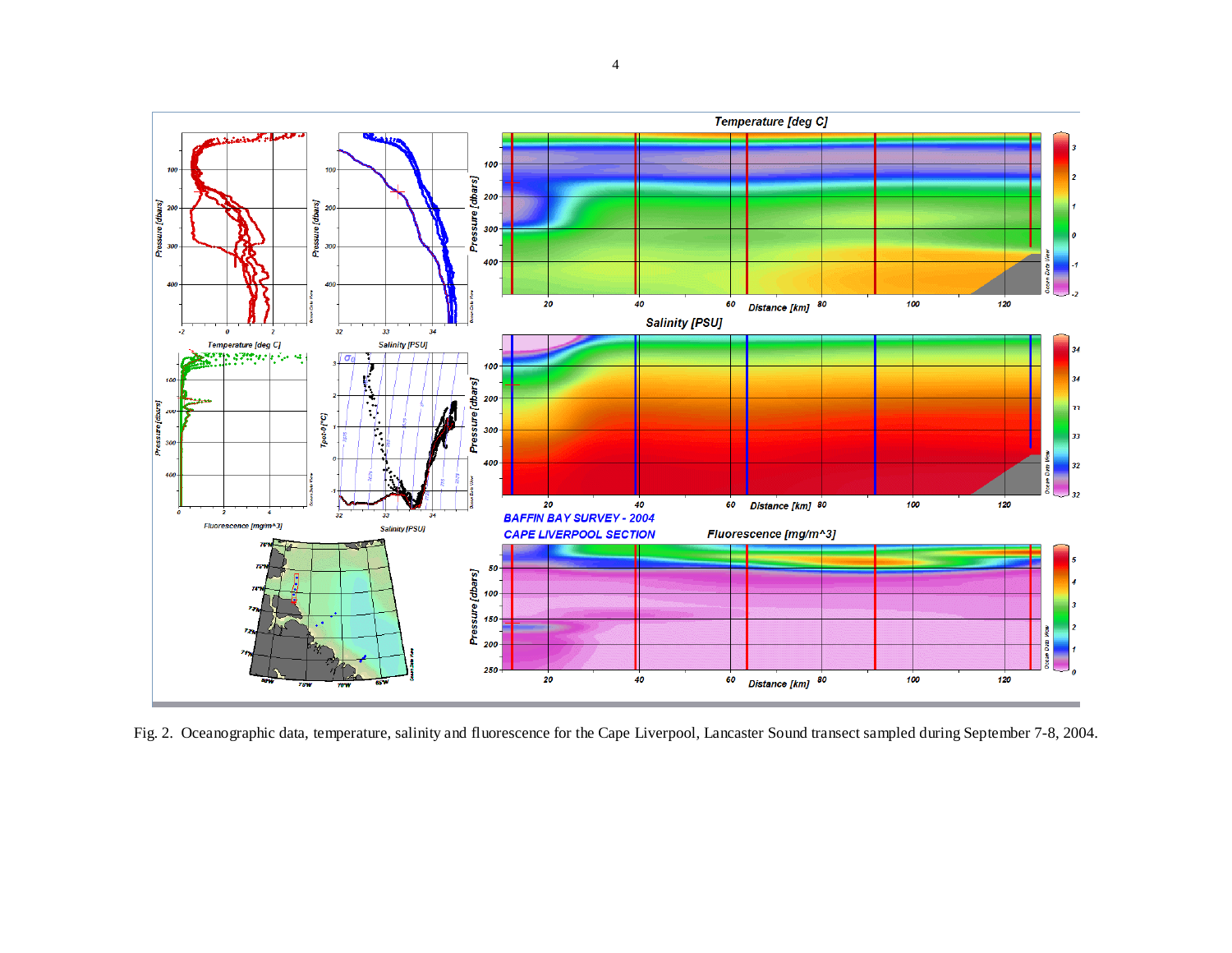

Fig. 2. Oceanographic data, temperature, salinity and fluorescence for the Cape Liverpool, Lancaster Sound transect sampled during September 7-8, 2004.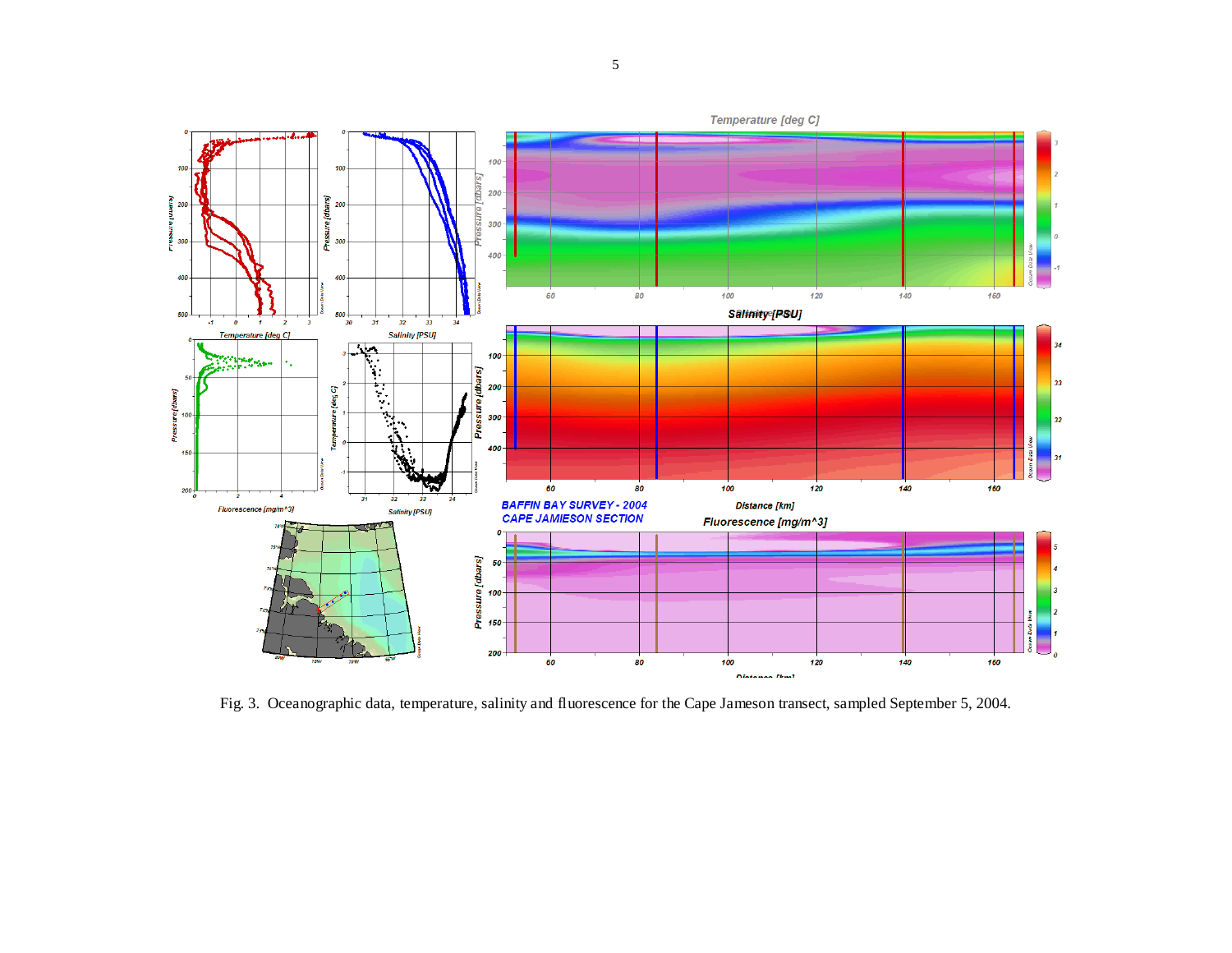

Fig. 3. Oceanographic data, temperature, salinity and fluorescence for the Cape Jameson transect, sampled September 5, 2004.